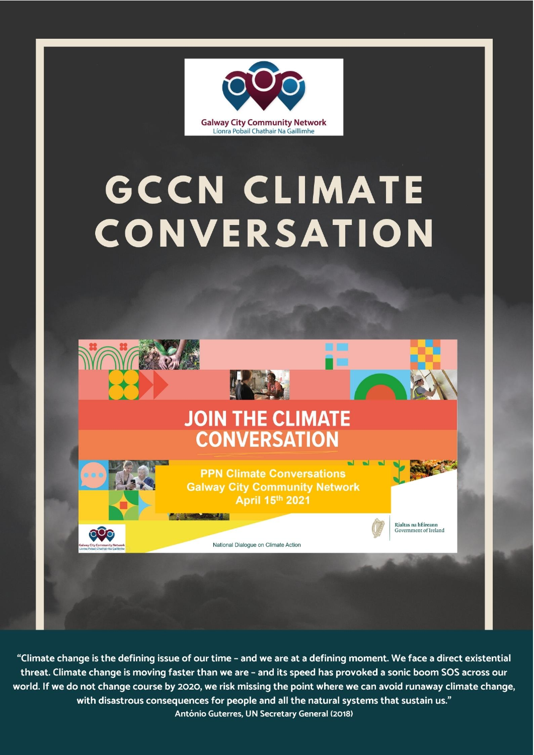

# **GCCN CLIMATE** CONVERSATION



"Climate change is the defining issue of our time - and we are at a defining moment. We face a direct existential threat. Climate change is moving faster than we are - and its speed has provoked a sonic boom SOS across our world. If we do not change course by 2020, we risk missing the point where we can avoid runaway climate change, with disastrous consequences for people and all the natural systems that sustain us." António Guterres, UN Secretary General (2018)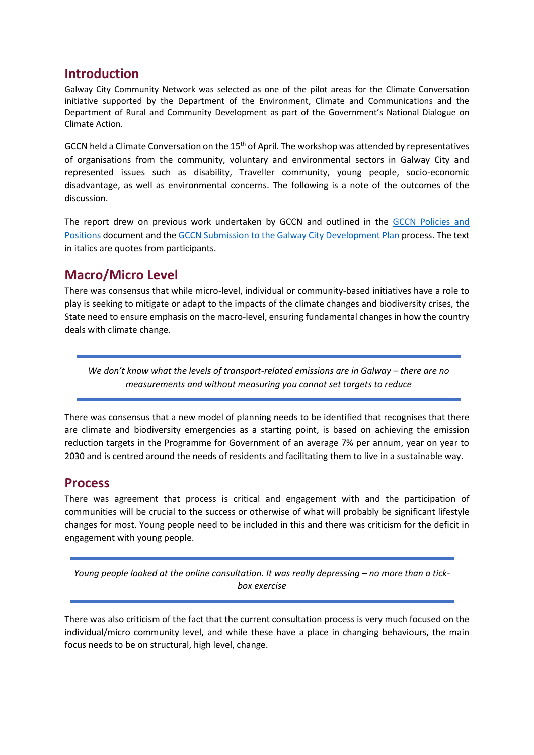## **Introduction**

Galway City Community Network was selected as one of the pilot areas for the Climate Conversation initiative supported by the Department of the Environment, Climate and Communications and the Department of Rural and Community Development as part of the Government's National Dialogue on Climate Action.

GCCN held a Climate Conversation on the  $15<sup>th</sup>$  of April. The workshop was attended by representatives of organisations from the community, voluntary and environmental sectors in Galway City and represented issues such as disability, Traveller community, young people, socio-economic disadvantage, as well as environmental concerns. The following is a note of the outcomes of the discussion.

The report drew on previous work undertaken by GCCN and outlined in the [GCCN Policies and](https://galwaycitycommunitynetwork.ie/wp-content/uploads/2018/03/GCCN-Policies-Positions.pdf)  [Positions](https://galwaycitycommunitynetwork.ie/wp-content/uploads/2018/03/GCCN-Policies-Positions.pdf) document and the [GCCN Submission to the Galway City Development Plan](https://galwaycitycommunitynetwork.ie/gccn-submission-on-galway-city-development-plan-2023-2029-stage-1/) process. The text in italics are quotes from participants.

# **Macro/Micro Level**

There was consensus that while micro-level, individual or community-based initiatives have a role to play is seeking to mitigate or adapt to the impacts of the climate changes and biodiversity crises, the State need to ensure emphasis on the macro-level, ensuring fundamental changes in how the country deals with climate change.

*We don't know what the levels of transport-related emissions are in Galway – there are no measurements and without measuring you cannot set targets to reduce*

There was consensus that a new model of planning needs to be identified that recognises that there are climate and biodiversity emergencies as a starting point, is based on achieving the emission reduction targets in the Programme for Government of an average 7% per annum, year on year to 2030 and is centred around the needs of residents and facilitating them to live in a sustainable way.

## **Process**

There was agreement that process is critical and engagement with and the participation of communities will be crucial to the success or otherwise of what will probably be significant lifestyle changes for most. Young people need to be included in this and there was criticism for the deficit in engagement with young people.

*Young people looked at the online consultation. It was really depressing – no more than a tickbox exercise*

There was also criticism of the fact that the current consultation process is very much focused on the individual/micro community level, and while these have a place in changing behaviours, the main focus needs to be on structural, high level, change.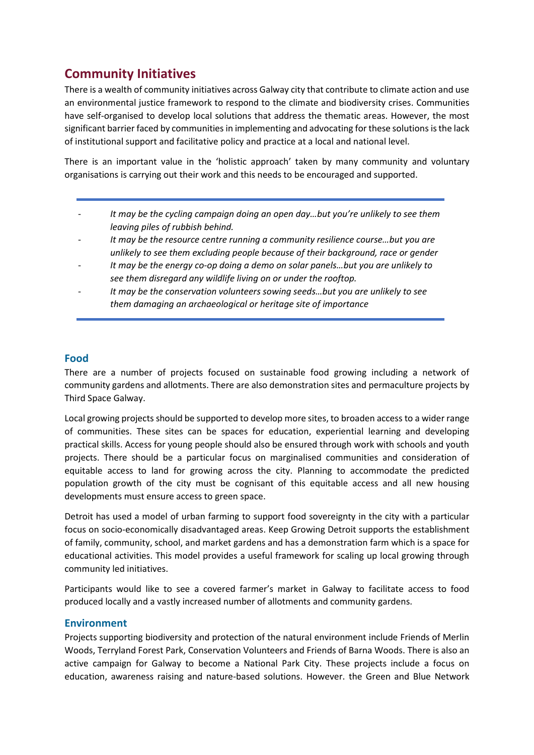# **Community Initiatives**

There is a wealth of community initiatives across Galway city that contribute to climate action and use an environmental justice framework to respond to the climate and biodiversity crises. Communities have self-organised to develop local solutions that address the thematic areas. However, the most significant barrier faced by communities in implementing and advocating for these solutions is the lack of institutional support and facilitative policy and practice at a local and national level.

There is an important value in the 'holistic approach' taken by many community and voluntary organisations is carrying out their work and this needs to be encouraged and supported.

- *It may be the cycling campaign doing an open day…but you're unlikely to see them leaving piles of rubbish behind.*
- It may be the resource centre running a community resilience course...but you are *unlikely to see them excluding people because of their background, race or gender*
- *It may be the energy co-op doing a demo on solar panels…but you are unlikely to see them disregard any wildlife living on or under the rooftop.*
- *It may be the conservation volunteers sowing seeds…but you are unlikely to see them damaging an archaeological or heritage site of importance*

#### **Food**

There are a number of projects focused on sustainable food growing including a network of community gardens and allotments. There are also demonstration sites and permaculture projects by Third Space Galway.

Local growing projects should be supported to develop more sites, to broaden access to a wider range of communities. These sites can be spaces for education, experiential learning and developing practical skills. Access for young people should also be ensured through work with schools and youth projects. There should be a particular focus on marginalised communities and consideration of equitable access to land for growing across the city. Planning to accommodate the predicted population growth of the city must be cognisant of this equitable access and all new housing developments must ensure access to green space.

Detroit has used a model of urban farming to support food sovereignty in the city with a particular focus on socio-economically disadvantaged areas. Keep Growing Detroit supports the establishment of family, community, school, and market gardens and has a demonstration farm which is a space for educational activities. This model provides a useful framework for scaling up local growing through community led initiatives.

Participants would like to see a covered farmer's market in Galway to facilitate access to food produced locally and a vastly increased number of allotments and community gardens.

#### **Environment**

Projects supporting biodiversity and protection of the natural environment include Friends of Merlin Woods, Terryland Forest Park, Conservation Volunteers and Friends of Barna Woods. There is also an active campaign for Galway to become a National Park City. These projects include a focus on education, awareness raising and nature-based solutions. However. the Green and Blue Network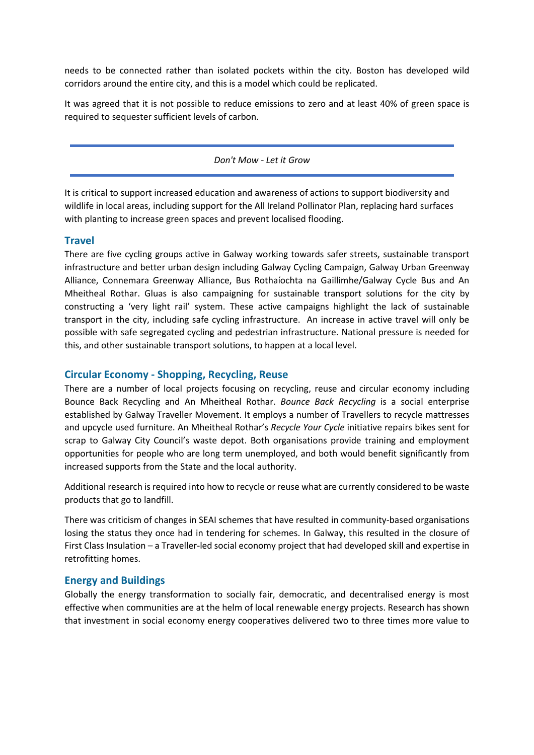needs to be connected rather than isolated pockets within the city. Boston has developed wild corridors around the entire city, and this is a model which could be replicated.

It was agreed that it is not possible to reduce emissions to zero and at least 40% of green space is required to sequester sufficient levels of carbon.

*Don't Mow - Let it Grow*

It is critical to support increased education and awareness of actions to support biodiversity and wildlife in local areas, including support for the All Ireland Pollinator Plan, replacing hard surfaces with planting to increase green spaces and prevent localised flooding.

#### **Travel**

There are five cycling groups active in Galway working towards safer streets, sustainable transport infrastructure and better urban design including Galway Cycling Campaign, Galway Urban Greenway Alliance, Connemara Greenway Alliance, Bus Rothaíochta na Gaillimhe/Galway Cycle Bus and An Mheitheal Rothar. Gluas is also campaigning for sustainable transport solutions for the city by constructing a 'very light rail' system. These active campaigns highlight the lack of sustainable transport in the city, including safe cycling infrastructure. An increase in active travel will only be possible with safe segregated cycling and pedestrian infrastructure. National pressure is needed for this, and other sustainable transport solutions, to happen at a local level.

#### **Circular Economy - Shopping, Recycling, Reuse**

There are a number of local projects focusing on recycling, reuse and circular economy including Bounce Back Recycling and An Mheitheal Rothar. *Bounce Back Recycling* is a social enterprise established by Galway Traveller Movement. It employs a number of Travellers to recycle mattresses and upcycle used furniture. An Mheitheal Rothar's *Recycle Your Cycle* initiative repairs bikes sent for scrap to Galway City Council's waste depot. Both organisations provide training and employment opportunities for people who are long term unemployed, and both would benefit significantly from increased supports from the State and the local authority.

Additional research is required into how to recycle or reuse what are currently considered to be waste products that go to landfill.

There was criticism of changes in SEAI schemes that have resulted in community-based organisations losing the status they once had in tendering for schemes. In Galway, this resulted in the closure of First Class Insulation – a Traveller-led social economy project that had developed skill and expertise in retrofitting homes.

#### **Energy and Buildings**

Globally the energy transformation to socially fair, democratic, and decentralised energy is most effective when communities are at the helm of local renewable energy projects. Research has shown that investment in social economy energy cooperatives delivered two to three times more value to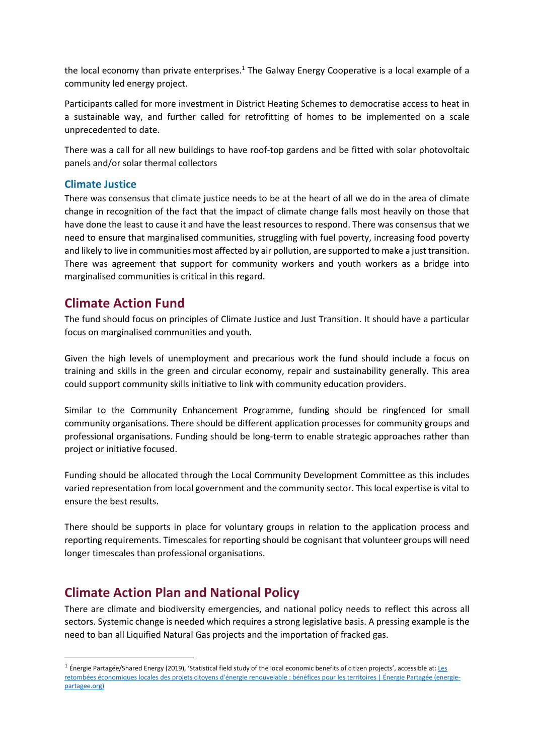the local economy than private enterprises.<sup>1</sup> The Galway Energy Cooperative is a local example of a community led energy project.

Participants called for more investment in District Heating Schemes to democratise access to heat in a sustainable way, and further called for retrofitting of homes to be implemented on a scale unprecedented to date.

There was a call for all new buildings to have roof-top gardens and be fitted with solar photovoltaic panels and/or solar thermal collectors

#### **Climate Justice**

There was consensus that climate justice needs to be at the heart of all we do in the area of climate change in recognition of the fact that the impact of climate change falls most heavily on those that have done the least to cause it and have the least resources to respond. There was consensus that we need to ensure that marginalised communities, struggling with fuel poverty, increasing food poverty and likely to live in communities most affected by air pollution, are supported to make a just transition. There was agreement that support for community workers and youth workers as a bridge into marginalised communities is critical in this regard.

## **Climate Action Fund**

The fund should focus on principles of Climate Justice and Just Transition. It should have a particular focus on marginalised communities and youth.

Given the high levels of unemployment and precarious work the fund should include a focus on training and skills in the green and circular economy, repair and sustainability generally. This area could support community skills initiative to link with community education providers.

Similar to the Community Enhancement Programme, funding should be ringfenced for small community organisations. There should be different application processes for community groups and professional organisations. Funding should be long-term to enable strategic approaches rather than project or initiative focused.

Funding should be allocated through the Local Community Development Committee as this includes varied representation from local government and the community sector. This local expertise is vital to ensure the best results.

There should be supports in place for voluntary groups in relation to the application process and reporting requirements. Timescales for reporting should be cognisant that volunteer groups will need longer timescales than professional organisations.

# **Climate Action Plan and National Policy**

There are climate and biodiversity emergencies, and national policy needs to reflect this across all sectors. Systemic change is needed which requires a strong legislative basis. A pressing example is the need to ban all Liquified Natural Gas projects and the importation of fracked gas.

<sup>&</sup>lt;sup>1</sup> Énergie Partagée/Shared Energy (2019), 'Statistical field study of the local economic benefits of citizen projects', accessible at: Les [retombées économiques locales des projets citoyens d'énergie renouvelable : bénéfices pour les territoires | Énergie Partagée \(energie](https://energie-partagee.org/etude-retombees-eco/)[partagee.org\)](https://energie-partagee.org/etude-retombees-eco/)